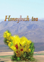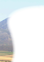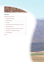

# **Contents**

|  | 4. Empowerment issues and transformation in the sector 5  |  |  |
|--|-----------------------------------------------------------|--|--|
|  |                                                           |  |  |
|  | 6. Swot (strengths, weaknesses, opportunities, threats) 6 |  |  |
|  |                                                           |  |  |
|  |                                                           |  |  |
|  |                                                           |  |  |

 $\mathbf{z}_{\text{max}}$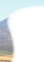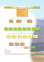

- 3 : Second level processors
- 4 : Tertiary level processors
- NB: Information about the processors' market share, turnover and contribution to employment is not yet available, owing to the fact that the industry is still in its infancy stage.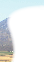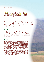# **Commodity profile**



### **1. DESCRIPTION OF THE INDUSTRY**

The Honeybush tea industry has huge potential in the herbal tea category, owing to the fact that it has no competition from other countries. Honeybush tea has unique health benefits and has, on a blind tasting with other teas, favorable response from the public. Furthermore, the Honeybush tea industry has the potential to position the tea within the major food trends as an organic, specialty health product and value added products such as ice-tea, green tea and baby products.

### **1.1 Production areas**

Honeybush tea grows in the wetter Eastern Cape mountains and spreads down along the Langeberg and Swartberg mountains into the Western Cape towards the coast as far as Bredasdorp. It is estimated that there are approximately 30 000 ha of mountainous land, including the Tsitsikamma, Kouga, Baviaans, Langeberg and Swartberg mountain ranges, where wild Honeybush grows sporadically within the greater fynbos biome.

#### **1.2 Production**

There are approximately 230 hectares of honeybush under cultivation; however, generally the tea is harvested from the natural mountainous veld and processed at on-farm processing facilities, currently being accredited with HACCP. Currently the tea is produced on a limited commercial basis. In total, about 221 tons per year is produced and the demand exceeds the supply. This total may be divided into 52 tons packed for local consumption comprising of an approximate value of R7,6 million and 169 tons for export with an approximate bulk loose tea value of R4,4 million.

There are 8 commercial growers of Honeybush tea who contribute 20 % of the annual production. Some of the plantations are managed by the Haarlem and Ericaville communities, who respectively have 10 hectares and 5 hectares under cultivation, and who aim to increase these to 35 hectares and 15 hectares respectively.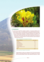

#### **1.3 Employment**

This sector has the potential to double its workforce. It has grown steadily at 20 % over the past five years. It is estimated that there are approximately 150 entrepreneurial workers involved in wild harvesting of Honeybush tea (30 picking teams) and 10 entrepreneurial transporters. Cultivated Honeybush tea employs 100 families in the Ericaville and Haarlem communities and 40 farm workers on commercial farms and 20 women have been given the opportunity to purchase 20 hectares from a commercial farmer, who will assist them to plant Honeybush and purchase their crops.

#### **Table 1. Employment in the Honeybush Tea industry**

| <b>Source of employment</b>        | No of workers |
|------------------------------------|---------------|
| Production                         | 651           |
| <b>Wild harvesting</b>             | 150           |
| First level processors             | 64            |
| Second level processors            | 80            |
| <b>Tertiary level processors</b>   | 80            |
| Retail packing plants              | 105           |
| Distribution, marketing and export | 87            |
| Research                           | 41            |
| <b>Total</b>                       | 1 258         |

*Source: South African Honeybush Tea Association*

Approximately 64 workers are employed at the 8 first level processing facilities, whilst approximately 80 workers are employed at the 4 second level processing facilities that also steam-pasteurise Rooibos tea. Retail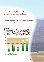packing plants employ a further 105 workers, whilst tertiary level value adding companies employ a further 80 staff. Approximately 651 workers are currently involved in production. A further 87 jobs are created in the areas of distribution, marketing and local and export sales, whilst approximately 41 staff are involved in research throughout the country and at various institutions. It is thus estimated that approximately 780 staff are directly involved in the Honeybush industry.

# **2. MARKET STRUCTURE**

### **2.1 Domestic market**

Approximately 5 brands of packed Honeybush tea and/or blends are distributed nationally in retail outlets by National Brands, Unifoods and Trophy distributors. Big multinational and local companies such as Lipton, Freshpak and Five Roses have launched Honeybush under their own brand name. Other smaller brands are distributed to farm stalls and local Spar supermarkets. Spar and Woolworths are the first supermarket chains to launch their in-house Honeybush brands. Local sales have increased steadily from approximately 5 tons in 2001, 10 tons in 2002 to 52 tons in 2003.

# **2.2 Exports**

There are 15 tea brokers who export Rooibos and Honeybush teas and 4 retail product brokers who include packed Honeybush tea as part of a basket of other products exported. There are also 3 Honeybush processors who export directly in bulk and value adding processors who export directly in bulk. Other industry export and investment facilitators are Wesgrow, TISA and the WC Department of Economic Affairs and Tourism. Future customers of Honeybush tea are UK, Japan, Germany and Switzerland, where health drinks are particularly sought after.



**FIG. 1. Honeybush tea exports** *Source: Perishable products Export Control Board*

Page 3

and an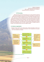Exports of Honeybush tea have increased dramatically from 2002 onwards, mainly due to the increased international demand for Honeybush tea.

#### **2.3 Processing**

Most harvesting and first level processing occurs on farms within the producing areas with the exception of one on-farm processor in Riversdale. The second- and tertiary level processing and marketing occurs in Port Elizabeth, Mosselbay and Cape Town. There are 8 on-farm honeybush processors who chop and oxidize the green unfermented honeybush tea into red brown tea; four second level processors who steam pasteurise tea, do sieving and dust extraction; seven third level processors involved in retail contracting and in-house packing. Tertiary level value adding (8) are involved in production of instant teas, cool method green tea processing, pharmaceutical extracts, novel product development such as ice teas, cosmetica, liqueurs, chocolates, liquid concentrates, and Honeybush blends with other indigenous plants.

#### **2.4 Industry organisation**

Depicted in Figure 2 below is the number of firms, industry associations, levels of concentration in production, marketing and distribution, level of organisation and cooperation in the Honeybush tea industry:



Page 4

**FIG. 2. Honeybush industry organisation**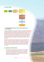

### **4. EMPOWERMENT ISSUES AND TRANSFORMATION IN THE SECTOR**

There is a great potential for share equity schemes and small farmer development in Honeybush production. Land transfers on existing commercial farms provide a viable equity opportunity for historically disadvantaged people. Presently, one commercial farmer in the Honeybush industry has created the "Mooi Uitsig Trust", an empowerment programme where female workers are able to purchase land on his farm at a nominal rate with land subsidy grants of R20 000 per individual. The new landowners are able to continue their present employment, while setting up their Honeybush tea plantations, with the farmer's assistance in land preparations.

In addition, community based cultivation projects, such as the Haarlem and Ericaville communities need low capital input to develop Honeybush as a cash crop. The land is leased from the local municipality or purchased with land grants and community members are currently being assisted by NGOs such as ASNAPP (Agribusiness in Sustainable Natural African Plant Products) and the Western Cape's Department of Economic Affairs and Tourism.

# **5. BUSINESS OPPORTUNITIES**

The low set-up costs per hectare and Honeybush tea's suitability for plantation on marginalised mountainous and low rainfall land such as the Langeberg Mountains and the little Karoo makes the Honeybush tea an ideal crop for black economic- and women-empowerment agricultural programme. The wild reserves also provide entrepreneurial opportunities for pickers.

the con-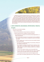• Although the increased international demand for Honeybush tea is a positive sign of the indigenous tea industry's future prospects, it should be noted that more than 90 % of Honeybush tea traded internationally is sold in bulk, as opposed to retail packaging. International buyers pack the tea themselves, develop their own brand names and trademarks, and this enables them to make more money from a unique South African product than the country itself. Exporters cannot simply stop selling bulk Honeybush tea, but they could add more value by developing a variety of products that will meet the demands and preference of both the buyers and their consumers.

### **6. SWOT (Strengths, weaknesses, opportunities, threats)**

#### **Strengths**

- Only source of raw material worldwide.
- Novelty in foreign markets.
	- The set-up and maintenance costs per hectare are relatively low.
	- Sufficient agricultural land is available for expansion purposes.
		- Good relationships exist between the historically disadvantaged pickers, cul tivators and processors.
			- SAHTA (South African Honeybush Tea Association) has been established and running for the past six years to champion the course of the industry as a whole.
				- The tea is caffeine free, low tannin and has some anecdotal culturally known health benefits.
				- The industry has innovated technology in the processing, refining and value-adding of Honeybush tea.
				- The Honeybush tea industry can benefit from the advances in technology made in the Rooibos industry, including gree Honeybush, instant Honeybush and other Honeybush products such as liqueurs and chocolates.
				- The tea is also suitable for babies (current value-added trend).
				- The tea is also seen as a functional food and is part of a growing herbal tea sector and health market (current value-added trend).
				- The tea blends well with fruit juices and other indigenous herbs.
				- Good media and marketing opportunities exist in both the domestic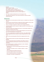and international market through press releases on the fact that the tea is labour intensive to harvest, grows in remote mountainous regions, benefits historically disadvantaged entrepreneurs and has no known negative attributes.

- Fair Trade is already marketing the tea in the European Union.
- The industry has experience in and control mechanisms in place for exports (PPECB and DoA).

#### **Weaknesses**

- Wild reserves are under pressure and there may be a resultant loss of these wild reserves.
- Small scale and commercial farmers compete with wild tea suppliers and can sometimes not sell their crops, or are too far from processing facilities.
- There is a shortage of expertise for setting up and managing plantations.
- Community projects lack the resources, capital and skills to do end product value added marketing.
- Community members lack transport and access to communication facilities to facilitate their involvement with SAHTA.
- The industry is perceived as too small by funding institutions such as the Innovation Fund and precluded from accessing funds.
- There are no pasteurisation and refining and tertiary value adding facilities in the Langkloof-the the tea is therefore, costly to transport 600 km to Cape Town.
- Some on-farm processing plants still need to be registered with the HAC-CP.
- Capital investment needs to be made to develop large scale commercial plantings.
- Importers demand bulk product and disallow value-adding in South Africa (big multinationals protecting their market share and processing operations).
- No international generic marketing campaign has been embarked upon and, the following issues are key:
	- Honeybush has no secured market position and share as a stand alone product.
	- No common information exists on different markets or market segments.

the con-

- Little knowledge about labeling requirements.
- Less than container loads are very expensive.
- Lack of marketing experience and support abroad.
- The public is not aware of Honeybush tea.

Page 7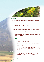

### **Opportunities**

- There are possibilities of growing foreign markets through a generic marketing campaign.
- Protected designation of Product of Origin (PDO) and Protected Geographic Indication (PGI) registration.
- Increased number of bilateral free trade agreements.
- Local market sales can be increased thereby sustaining growth without currency fluctutions.
	- Packing plant and export via Port Elizabeth makes the tea more price competitive.
	- Demand exists for new value-added products such as Honeybush green tea, ice tea, cosmetics, neutraceutical products and medicinal extracts for specific medicinal indications.
		- Financing exists for both commercial and small scale farming, e.g. from the Land Bank's Micro-lending facility.

#### **Threats**

- International markets resist value adding in South Africa.
	- Loyalty of supply to marketers is fickle.
	- Industry lacks cohesion on pricing structure, which leads to frustration with overseas buyers.
	- Depletion of wild reserves.
	- The variable quality of tea sold can harm the consumer's perception of the tea, e.g. poor colour draw can create the perception that the tea is weak.
	- Honeybush name has been trademarked in Japan, and this could impact on foreign earnings.
	- The proposed tax on farmland can have an impact on land values, profitability and creditworthiness of farming operations.

Page 8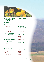

### **7. ROLEPLAYERS IN THE HONEYBUSH TEA INDUSTRY**

# **7.1 Pickers**

*7.1.1 Haarlem Pickers*

Tel: 082 802 4822

*7.1.2 Erikaville Agricultural Trust*

Tel: (044) 385 0354

*7.1.3 Independent Lower Langkloof Pickers*

Tel: ????????????

### **7.2 First level processors**

### *7.2.1 Helgaard Ackermann*

P.O. Box 113 Humansdorp 6300 Tel: (042) 295 1513

*7.2.2 Jan-Andries & Helmien Beyers*

P.O. Box 46 **Herold** 6615 Tel: (044) 888 1733

*7.2.3 Towen Ferreira* P.O. Box 115 **Joubertina** 6410 Tel: (042) 273 2218

*7.2.4 Godfied & Erika Kritzinger*

PO Box 26 **Misqund** 6440 Tel: (042) 275 1601

#### *7.2.5 Johan Kritzinger*

P.O. Box 90 Louterwater 6435 Tel: (042) 275 1784

#### *7.2.6 Scheltema Nortjie*

P.O. Box 30 Kareedouw 6400 Tel: (042) 288 0203

### *7.2.7 Laurie Strydom*

 $\omega_{\rm{esc}}$ 

P.O. Box 579 Riversdal 6670 Tel: (028) 713 2987

Page 9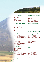

### *7.2.8 Pierre Taljaard*

Cape Honeybush Tea P.O. Box 1988 **Mosselbay** 6500 Tel: (044) 697 7070

# **7.3 Second level processors**

*7.3.1 Cape Natural Tea Products*

#### Contact: Dawie de Villiers

Tel: (021) 951 3132 E-mail: capenat@new.co.za<br>Web: www.rooibostea.co.z www.rooibostea.co.za

### *7.3.2 Cape Honeybush Tea Company*

Tel: (044) 697 7070 E-mail: carol@capehoneybushtea.co.za<br>Web: www.capehoneybushtea.co.za www.capehoneybushtea.co.za

### *7.3.3 Coetzee & Coetzee*

Contact: Neill Coetzee Tel: (021) 905 1318 E-mail: info@coetzeeltd.co.za<br>Web: www.coetzeeltd.co.za www.coetzeeltd.co.za

# *7.3.4 HerbAfrica cc*

Contact: Astrid Moehrke P.O. Box 35 Muizenburg 7950 Tel: (021) 788 6654 E-mail: honeybush@mweb.co.za Web: www.HerbAfrica.com

# *7.3.5 Khoisan Import Export cc*

Contact: Peter Schulke P.O. Box 32210 Camps Bay 8040 Tel: (021) 421 3444<br>E-mail: agultrad@iafrica agultrad@iafrica.com

#### *7.3.6 Trophy Tea Distributors*

Contact: Louis van Coppenhagen P.O. Box 32 Robertson 6705 Tel: (023) 626 4024

### **7.4 Tertiary level processors**

*7.4.1 Benedict Technology Holdings*

Contact: Schalk de Beer Tel: (021) 882 9300<br>E-mail: schalk@benedic schalk@benedict-tech.co.za

#### *7.4.2 Afriplex*

Contact: Riaan van Breda P.O. Box 3186 Paarl 7620 Tel: (021) 872 4976

#### *7.4.3 Fruition*

Contact: Grant Momple P.O. Box 505 **Wellington** 7650 Tel: (021) 873 3101 E-mail: grant@fruition.co.za<br>Web: www.fruition.co.za Web: www.fruition.co.za